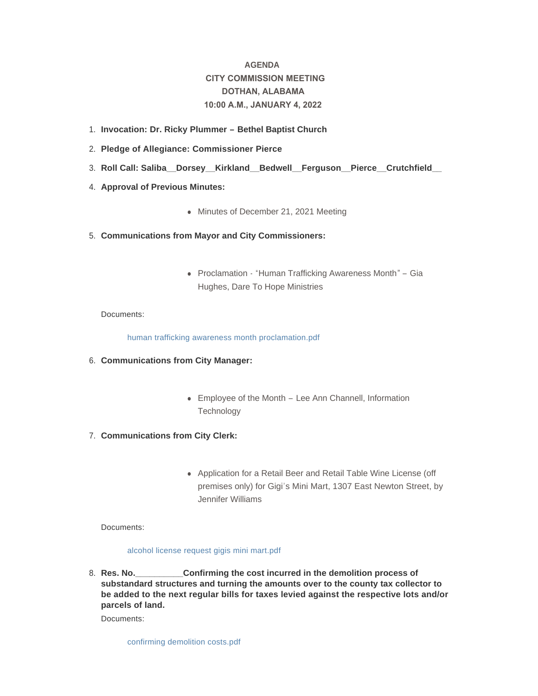# **AGENDA CITY COMMISSION MEETING DOTHAN, ALABAMA 10:00 A.M., JANUARY 4, 2022**

- **Invocation: Dr. Ricky Plummer – Bethel Baptist Church** 1.
- **Pledge of Allegiance: Commissioner Pierce** 2.
- **Roll Call: Saliba\_\_Dorsey\_\_Kirkland\_\_Bedwell\_\_Ferguson\_\_Pierce\_\_Crutchfield\_\_**  3.
- 4. **Approval of Previous Minutes:** 
	- Minutes of December 21, 2021 Meeting
- **Communications from Mayor and City Commissioners:** 5.
	- Proclamation "Human Trafficking Awareness Month" Gia Hughes, Dare To Hope Ministries

# Documents:

[human trafficking awareness month proclamation.pdf](http://www.dothan.org/AgendaCenter/ViewFile/Item/7536?fileID=11607)

- **Communications from City Manager:** 6.
	- Employee of the Month Lee Ann Channell, Information **Technology**
- **Communications from City Clerk:** 7.
	- Application for a Retail Beer and Retail Table Wine License (off premises only) for Gigi's Mini Mart, 1307 East Newton Street, by Jennifer Williams

Documents:

# [alcohol license request gigis mini mart.pdf](http://www.dothan.org/AgendaCenter/ViewFile/Item/7538?fileID=11608)

**Confirming the cost incurred in the demolition process of substandard structures and turning the amounts over to the county tax collector to be added to the next regular bills for taxes levied against the respective lots and/or parcels of land.** 8. Res. No.

Documents:

[confirming demolition costs.pdf](http://www.dothan.org/AgendaCenter/ViewFile/Item/7515?fileID=11590)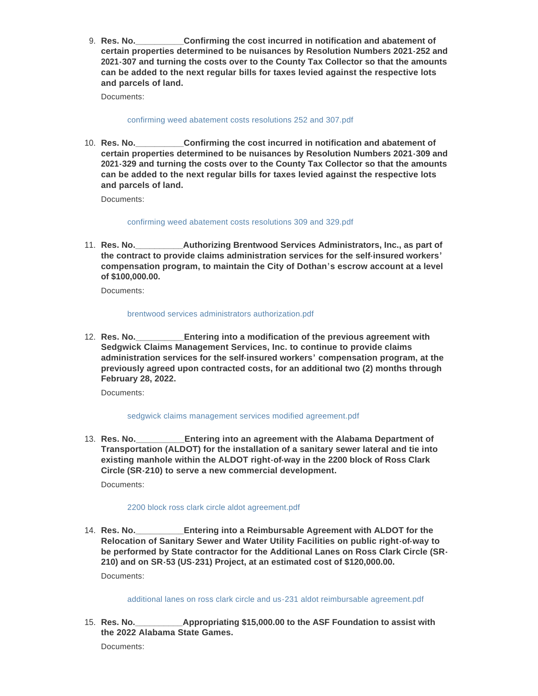**Confirming the cost incurred in notification and abatement of certain properties determined to be nuisances by Resolution Numbers 2021-252 and 2021-307 and turning the costs over to the County Tax Collector so that the amounts can be added to the next regular bills for taxes levied against the respective lots and parcels of land.** 9. **Res. No.** 

Documents:

### [confirming weed abatement costs resolutions 252 and 307.pdf](http://www.dothan.org/AgendaCenter/ViewFile/Item/7516?fileID=11591)

**Confirming the cost incurred in notification and abatement of certain properties determined to be nuisances by Resolution Numbers 2021-309 and 2021-329 and turning the costs over to the County Tax Collector so that the amounts can be added to the next regular bills for taxes levied against the respective lots and parcels of land.** 10. Res. No.

Documents:

### [confirming weed abatement costs resolutions 309 and 329.pdf](http://www.dothan.org/AgendaCenter/ViewFile/Item/7517?fileID=11592)

**Authorizing Brentwood Services Administrators, Inc., as part of the contract to provide claims administration services for the self-insured workers' compensation program, to maintain the City of Dothan's escrow account at a level of \$100,000.00.** 11. **Res. No.** 

Documents:

### [brentwood services administrators authorization.pdf](http://www.dothan.org/AgendaCenter/ViewFile/Item/7518?fileID=11593)

**Entering into a modification of the previous agreement with Sedgwick Claims Management Services, Inc. to continue to provide claims administration services for the self-insured workers' compensation program, at the previously agreed upon contracted costs, for an additional two (2) months through February 28, 2022.** 12. **Res. No.** 

Documents:

# [sedgwick claims management services modified agreement.pdf](http://www.dothan.org/AgendaCenter/ViewFile/Item/7519?fileID=11594)

**Entering into an agreement with the Alabama Department of Transportation (ALDOT) for the installation of a sanitary sewer lateral and tie into existing manhole within the ALDOT right-of-way in the 2200 block of Ross Clark Circle (SR-210) to serve a new commercial development.** 13. Res. No.

Documents:

# [2200 block ross clark circle aldot agreement.pdf](http://www.dothan.org/AgendaCenter/ViewFile/Item/7520?fileID=11595)

**Entering into a Reimbursable Agreement with ALDOT for the Relocation of Sanitary Sewer and Water Utility Facilities on public right-of-way to be performed by State contractor for the Additional Lanes on Ross Clark Circle (SR-210) and on SR-53 (US-231) Project, at an estimated cost of \$120,000.00.** 14. Res. No. Documents:

[additional lanes on ross clark circle and us-231 aldot reimbursable agreement.pdf](http://www.dothan.org/AgendaCenter/ViewFile/Item/7521?fileID=11596)

**Appropriating \$15,000.00 to the ASF Foundation to assist with the 2022 Alabama State Games.** 15. **Res. No.** 

Documents: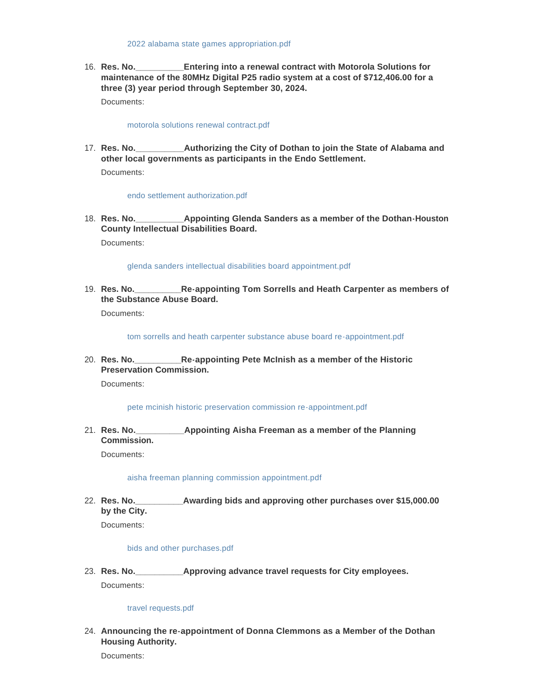**Entering into a renewal contract with Motorola Solutions for maintenance of the 80MHz Digital P25 radio system at a cost of \$712,406.00 for a three (3) year period through September 30, 2024.** 16. **Res. No.** 

Documents:

#### [motorola solutions renewal contract.pdf](http://www.dothan.org/AgendaCenter/ViewFile/Item/7523?fileID=11598)

**Authorizing the City of Dothan to join the State of Alabama and other local governments as participants in the Endo Settlement.** 17. **Res. No.** 

Documents:

#### [endo settlement authorization.pdf](http://www.dothan.org/AgendaCenter/ViewFile/Item/7524?fileID=11599)

**Appointing Glenda Sanders as a member of the Dothan-Houston County Intellectual Disabilities Board.** 18. Res. No.

Documents:

### [glenda sanders intellectual disabilities board appointment.pdf](http://www.dothan.org/AgendaCenter/ViewFile/Item/7525?fileID=11600)

**Res. No.\_\_\_\_\_\_\_\_\_\_Re-appointing Tom Sorrells and Heath Carpenter as members of**  19. **the Substance Abuse Board.**

Documents:

[tom sorrells and heath carpenter substance abuse board re-appointment.pdf](http://www.dothan.org/AgendaCenter/ViewFile/Item/7526?fileID=11601)

**Res. No.\_\_\_\_\_\_\_\_\_\_Re-appointing Pete McInish as a member of the Historic**  20. **Preservation Commission.**

Documents:

#### [pete mcinish historic preservation commission re-appointment.pdf](http://www.dothan.org/AgendaCenter/ViewFile/Item/7527?fileID=11602)

**Res. No.\_\_\_\_\_\_\_\_\_\_Appointing Aisha Freeman as a member of the Planning**  21. **Commission.**

Documents:

[aisha freeman planning commission appointment.pdf](http://www.dothan.org/AgendaCenter/ViewFile/Item/7528?fileID=11603)

**Res. No.\_\_\_\_\_\_\_\_\_\_Awarding bids and approving other purchases over \$15,000.00**  22. **by the City.**

Documents:

#### [bids and other purchases.pdf](http://www.dothan.org/AgendaCenter/ViewFile/Item/7529?fileID=11604)

**Res. No.\_\_\_\_\_\_\_\_\_\_Approving advance travel requests for City employees.** 23. Documents:

## [travel requests.pdf](http://www.dothan.org/AgendaCenter/ViewFile/Item/7530?fileID=11605)

**Announcing the re-appointment of Donna Clemmons as a Member of the Dothan**  24. **Housing Authority.**

Documents: